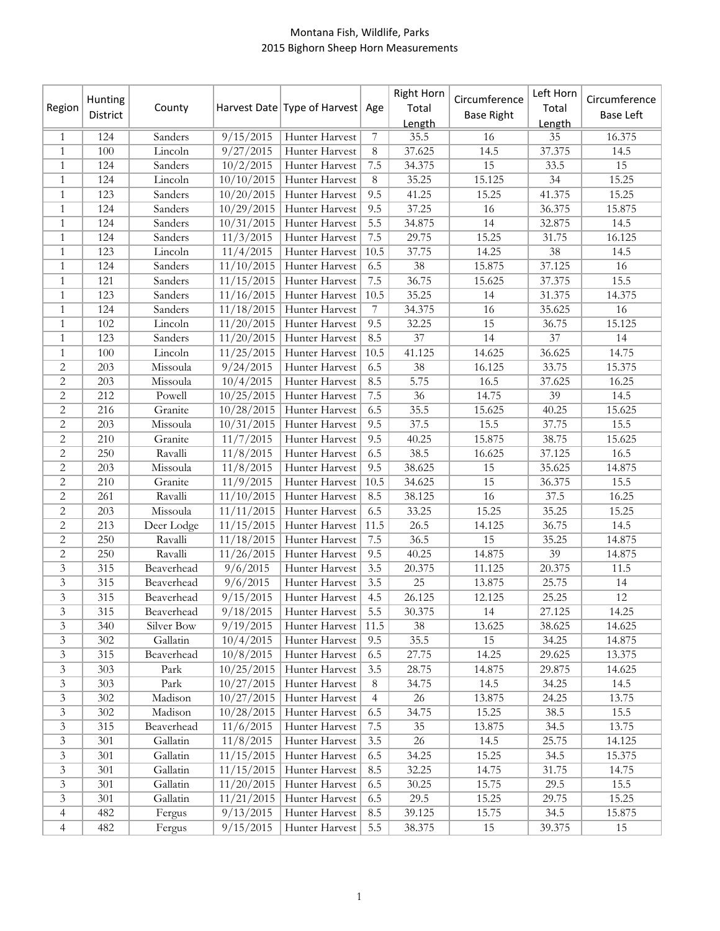## Montana Fish, Wildlife, Parks 2015 Bighorn Sheep Horn Measurements

| Region                      | Hunting<br>District | County     |                      | Harvest Date Type of Harvest Age |                  | Right Horn<br>Total<br>Length | Circumference<br><b>Base Right</b> | Left Horn<br>Total<br>Length | Circumference<br><b>Base Left</b> |
|-----------------------------|---------------------|------------|----------------------|----------------------------------|------------------|-------------------------------|------------------------------------|------------------------------|-----------------------------------|
| 1                           | 124                 | Sanders    | 9/15/2015            | Hunter Harvest                   | $\overline{7}$   | 35.5                          | 16                                 | 35                           | 16.375                            |
| 1                           | 100                 | Lincoln    | $\frac{9}{27}/2015$  | Hunter Harvest                   | 8                | 37.625                        | 14.5                               | 37.375                       | 14.5                              |
| 1                           | 124                 | Sanders    | 10/2/2015            | Hunter Harvest                   | 7.5              | 34.375                        | 15                                 | 33.5                         | 15                                |
| 1                           | 124                 | Lincoln    | 10/10/2015           | Hunter Harvest                   | 8                | 35.25                         | 15.125                             | 34                           | 15.25                             |
| $\mathbf{1}$                | 123                 | Sanders    | 10/20/2015           | Hunter Harvest                   | 9.5              | 41.25                         | 15.25                              | 41.375                       | 15.25                             |
| $\mathbf{1}$                | 124                 | Sanders    | $\frac{10}{29}/2015$ | Hunter Harvest                   | 9.5              | 37.25                         | 16                                 | 36.375                       | 15.875                            |
| $\mathbf{1}$                | 124                 | Sanders    | 10/31/2015           | Hunter Harvest                   | 5.5              | 34.875                        | 14                                 | 32.875                       | 14.5                              |
| $\mathbf{1}$                | 124                 | Sanders    | 11/3/2015            | Hunter Harvest                   | 7.5              | 29.75                         | 15.25                              | 31.75                        | 16.125                            |
| $\mathbf{1}$                | 123                 | Lincoln    | 11/4/2015            | Hunter Harvest                   | 10.5             | 37.75                         | 14.25                              | $38\,$                       | 14.5                              |
| $\mathbf{1}$                | 124                 | Sanders    | 11/10/2015           | Hunter Harvest                   | 6.5              | $38\,$                        | 15.875                             | 37.125                       | 16                                |
| 1                           | 121                 | Sanders    | 11/15/2015           | Hunter Harvest                   | $7.5\,$          | 36.75                         | 15.625                             | 37.375                       | 15.5                              |
| 1                           | 123                 | Sanders    | 11/16/2015           | Hunter Harvest                   | 10.5             | 35.25                         | 14                                 | 31.375                       | 14.375                            |
| 1                           | 124                 | Sanders    | 11/18/2015           | Hunter Harvest                   | 7                | 34.375                        | 16                                 | 35.625                       | 16                                |
| 1                           | 102                 | Lincoln    | 11/20/2015           | Hunter Harvest                   | 9.5              | 32.25                         | 15                                 | 36.75                        | 15.125                            |
| $\mathbf{1}$                | 123                 | Sanders    | 11/20/2015           | Hunter Harvest                   | 8.5              | 37                            | 14                                 | $37\,$                       | 14                                |
| $\mathbf{1}$                | 100                 | Lincoln    | 11/25/2015           | Hunter Harvest                   | 10.5             | 41.125                        | 14.625                             | 36.625                       | 14.75                             |
| 2                           | 203                 | Missoula   | 9/24/2015            | Hunter Harvest                   | 6.5              | $38\,$                        | 16.125                             | 33.75                        | 15.375                            |
| 2                           | 203                 | Missoula   | 10/4/2015            | Hunter Harvest                   | 8.5              | 5.75                          | 16.5                               | 37.625                       | 16.25                             |
| 2                           | 212                 | Powell     | 10/25/2015           | Hunter Harvest                   | 7.5              | 36                            | 14.75                              | 39                           | 14.5                              |
| 2                           | 216                 | Granite    | 10/28/2015           | Hunter Harvest                   | 6.5              | 35.5                          | 15.625                             | 40.25                        | 15.625                            |
| 2                           | 203                 | Missoula   | 10/31/2015           | Hunter Harvest                   | 9.5              | 37.5                          | 15.5                               | 37.75                        | 15.5                              |
| $\overline{2}$              | 210                 | Granite    | 11/7/2015            | Hunter Harvest                   | 9.5              | 40.25                         | 15.875                             | 38.75                        | 15.625                            |
| $\overline{2}$              | 250                 | Ravalli    | 11/8/2015            | Hunter Harvest                   | 6.5              | 38.5                          | 16.625                             | 37.125                       | 16.5                              |
| $\overline{2}$              | 203                 | Missoula   | 11/8/2015            | Hunter Harvest                   | 9.5              | 38.625                        | 15                                 | 35.625                       | 14.875                            |
| $\overline{2}$              | 210                 | Granite    | 11/9/2015            | Hunter Harvest                   | 10.5             | 34.625                        | 15                                 | 36.375                       | 15.5                              |
| 2                           | 261                 | Ravalli    | 11/10/2015           | Hunter Harvest                   | 8.5              | 38.125                        | 16                                 | 37.5                         | 16.25                             |
| $\overline{2}$              | 203                 | Missoula   | 11/11/2015           | Hunter Harvest                   | 6.5              | 33.25                         | 15.25                              | 35.25                        | 15.25                             |
| $\overline{2}$              | 213                 | Deer Lodge | 11/15/2015           | Hunter Harvest                   | 11.5             | 26.5                          | 14.125                             | 36.75                        | 14.5                              |
| $\overline{2}$              | 250                 | Ravalli    | 11/18/2015           | Hunter Harvest                   | $7.5\,$          | 36.5                          | 15                                 | 35.25                        | 14.875                            |
| 2                           | 250                 | Ravalli    | 11/26/2015           | Hunter Harvest                   | 9.5              | 40.25                         | 14.875                             | 39                           | 14.875                            |
| 3                           | 315                 | Beaverhead | 9/6/2015             | Hunter Harvest                   | 3.5              | 20.375                        | 11.125                             | 20.375                       | 11.5                              |
| $\mathfrak{Z}$              | 315                 | Beaverhead | 9/6/2015             | Hunter Harvest                   | 3.5              | $25\,$                        | 13.875                             | 25.75                        | 14                                |
| 3                           | 315                 | Beaverhead | 9/15/2015            | Hunter Harvest                   | 4.5              | 26.125                        | 12.125                             | 25.25                        | 12                                |
| $\mathfrak{Z}$              | 315                 | Beaverhead | 9/18/2015            | Hunter Harvest                   | $\overline{5.5}$ | 30.375                        | 14                                 | 27.125                       | 14.25                             |
| 3                           | 340                 | Silver Bow | 9/19/2015            | Hunter Harvest                   | 11.5             | 38                            | 13.625                             | 38.625                       | 14.625                            |
| $\ensuremath{\mathfrak{Z}}$ | 302                 | Gallatin   | 10/4/2015            | Hunter Harvest                   | 9.5              | 35.5                          | 15                                 | 34.25                        | 14.875                            |
| $\ensuremath{\mathfrak{Z}}$ | 315                 | Beaverhead | 10/8/2015            | Hunter Harvest                   | 6.5              | 27.75                         | 14.25                              | 29.625                       | 13.375                            |
| $\mathfrak{Z}$              | 303                 | Park       | 10/25/2015           | Hunter Harvest                   | 3.5              | 28.75                         | 14.875                             | 29.875                       | 14.625                            |
| $\mathfrak{Z}$              | 303                 | Park       | 10/27/2015           | Hunter Harvest                   | 8                | 34.75                         | 14.5                               | 34.25                        | 14.5                              |
| 3                           | 302                 | Madison    | 10/27/2015           | Hunter Harvest                   | 4                | 26                            | 13.875                             | 24.25                        | 13.75                             |
| $\mathfrak{Z}$              | 302                 | Madison    | 10/28/2015           | Hunter Harvest                   | 6.5              | 34.75                         | 15.25                              | 38.5                         | 15.5                              |
| $\mathfrak{Z}$              | 315                 | Beaverhead | 11/6/2015            | Hunter Harvest                   | 7.5              | 35                            | 13.875                             | 34.5                         | 13.75                             |
| 3                           | 301                 | Gallatin   | 11/8/2015            | Hunter Harvest                   | 3.5              | 26                            | 14.5                               | 25.75                        | 14.125                            |
| $\mathfrak{Z}$              | 301                 | Gallatin   | 11/15/2015           | Hunter Harvest                   | 6.5              | 34.25                         | 15.25                              | 34.5                         | 15.375                            |
| $\mathfrak{Z}$              | 301                 | Gallatin   | 11/15/2015           | Hunter Harvest                   | 8.5              | 32.25                         | 14.75                              | 31.75                        | 14.75                             |
| 3                           | 301                 | Gallatin   | 11/20/2015           | Hunter Harvest                   | 6.5              | 30.25                         | 15.75                              | 29.5                         | 15.5                              |
| 3                           | 301                 | Gallatin   | 11/21/2015           | Hunter Harvest                   | 6.5              | 29.5                          | 15.25                              | 29.75                        | 15.25                             |
| 4                           | 482                 | Fergus     | 9/13/2015            | Hunter Harvest                   | 8.5<br>5.5       | 39.125                        | 15.75                              | 34.5                         | 15.875<br>15                      |
| 4                           | 482                 | Fergus     | 9/15/2015            | Hunter Harvest                   |                  | 38.375                        | 15                                 | 39.375                       |                                   |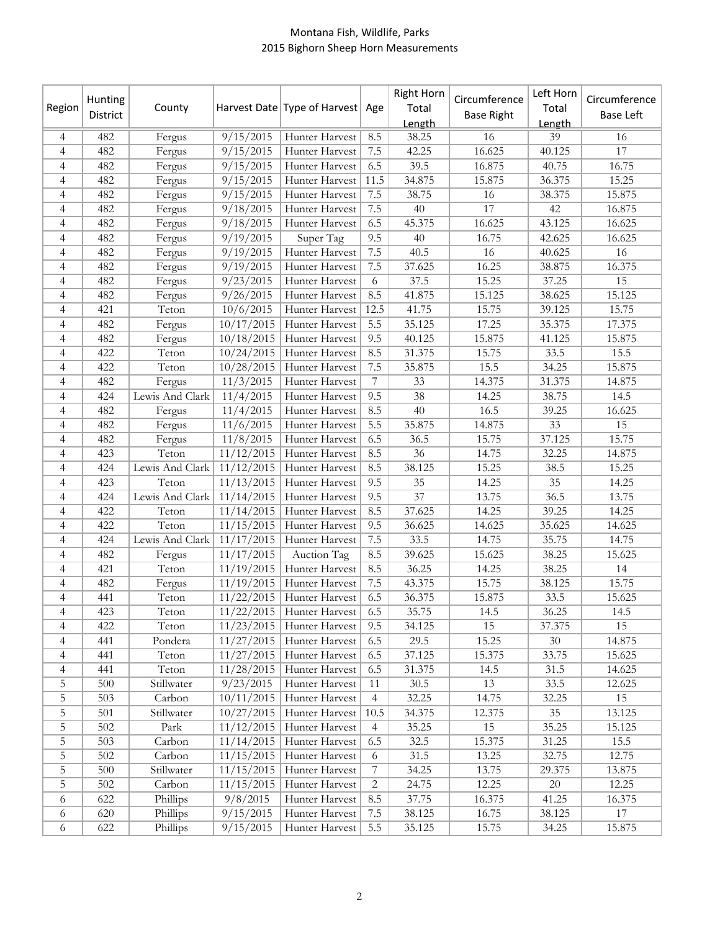## Montana Fish, Wildlife, Parks 2015 Bighorn Sheep Horn Measurements

| Region         | Hunting<br>District | County          |                              | Harvest Date Type of Harvest Age |                | <b>Right Horn</b><br>Total<br>Length | Circumference<br><b>Base Right</b> | Left Horn<br>Total<br>Length | Circumference<br><b>Base Left</b> |
|----------------|---------------------|-----------------|------------------------------|----------------------------------|----------------|--------------------------------------|------------------------------------|------------------------------|-----------------------------------|
| 4              | 482                 | Fergus          | 9/15/2015                    | Hunter Harvest                   | 8.5            | 38.25                                | 16                                 | 39                           | 16                                |
| $\overline{4}$ | 482                 | Fergus          | 9/15/2015                    | Hunter Harvest                   | 7.5            | 42.25                                | 16.625                             | 40.125                       | 17                                |
| 4              | 482                 | Fergus          | 9/15/2015                    | Hunter Harvest                   | 6.5            | 39.5                                 | 16.875                             | 40.75                        | 16.75                             |
| 4              | 482                 | Fergus          | 9/15/2015                    | Hunter Harvest                   | 11.5           | 34.875                               | 15.875                             | 36.375                       | 15.25                             |
| $\overline{4}$ | 482                 | Fergus          | 9/15/2015                    | Hunter Harvest                   | 7.5            | 38.75                                | 16                                 | 38.375                       | 15.875                            |
| $\overline{4}$ | 482                 | Fergus          | 9/18/2015                    | Hunter Harvest                   | 7.5            | 40                                   | 17                                 | 42                           | 16.875                            |
| $\overline{4}$ | 482                 | Fergus          | 9/18/2015                    | Hunter Harvest                   | 6.5            | 45.375                               | 16.625                             | 43.125                       | 16.625                            |
| $\overline{4}$ | 482                 | Fergus          | 9/19/2015                    | Super Tag                        | 9.5            | 40                                   | 16.75                              | 42.625                       | 16.625                            |
| 4              | 482                 | Fergus          | 9/19/2015                    | Hunter Harvest                   | $7.5\,$        | 40.5                                 | $\overline{16}$                    | 40.625                       | 16                                |
| 4              | 482                 | Fergus          | 9/19/2015                    | Hunter Harvest                   | $7.5\,$        | 37.625                               | 16.25                              | 38.875                       | 16.375                            |
| 4              | 482                 | Fergus          | 9/23/2015                    | Hunter Harvest                   | 6              | 37.5                                 | 15.25                              | 37.25                        | 15                                |
| 4              | 482                 | Fergus          | 9/26/2015                    | Hunter Harvest                   | 8.5            | 41.875                               | 15.125                             | 38.625                       | 15.125                            |
| 4              | 421                 | Teton           | 10/6/2015                    | Hunter Harvest                   | 12.5           | 41.75                                | 15.75                              | 39.125                       | 15.75                             |
| 4              | 482                 | Fergus          | 10/17/2015                   | Hunter Harvest                   | 5.5            | 35.125                               | 17.25                              | 35.375                       | 17.375                            |
| 4              | 482                 | Fergus          | 10/18/2015                   | Hunter Harvest                   | 9.5            | 40.125                               | 15.875                             | 41.125                       | 15.875                            |
| 4              | 422                 | Teton           | 10/24/2015                   | Hunter Harvest                   | 8.5            | 31.375                               | 15.75                              | 33.5                         | 15.5                              |
| 4              | 422                 | Teton           | $\frac{10}{28}{\sqrt{2015}}$ | Hunter Harvest                   | 7.5            | 35.875                               | 15.5                               | 34.25                        | 15.875                            |
| 4              | 482                 | Fergus          | 11/3/2015                    | Hunter Harvest                   | $\overline{7}$ | 33                                   | 14.375                             | 31.375                       | 14.875                            |
| $\overline{4}$ | 424                 | Lewis And Clark | 11/4/2015                    | <b>Hunter Harvest</b>            | 9.5            | 38                                   | 14.25                              | 38.75                        | 14.5                              |
| $\overline{4}$ | 482                 | Fergus          | 11/4/2015                    | Hunter Harvest                   | 8.5            | 40                                   | 16.5                               | 39.25                        | 16.625                            |
| 4              | 482                 | Fergus          | 11/6/2015                    | Hunter Harvest                   | 5.5            | 35.875                               | 14.875                             | 33                           | 15                                |
| 4              | 482                 | Fergus          | 11/8/2015                    | Hunter Harvest                   | 6.5            | 36.5                                 | 15.75                              | 37.125                       | 15.75                             |
| $\overline{4}$ | 423                 | Teton           | 11/12/2015                   | Hunter Harvest                   | 8.5            | 36                                   | 14.75                              | 32.25                        | 14.875                            |
| 4              | 424                 | Lewis And Clark |                              | $11/12/2015$ Hunter Harvest      | 8.5            | 38.125                               | 15.25                              | 38.5                         | 15.25                             |
| 4              | 423                 | Teton           | 11/13/2015                   | Hunter Harvest                   | 9.5            | 35                                   | 14.25                              | 35                           | 14.25                             |
| 4              | 424                 | Lewis And Clark | 11/14/2015                   | Hunter Harvest                   | 9.5            | $\overline{37}$                      | 13.75                              | 36.5                         | 13.75                             |
| 4              | 422                 | Teton           | 11/14/2015                   | Hunter Harvest                   | 8.5            | 37.625                               | 14.25                              | 39.25                        | 14.25                             |
| 4              | 422                 | Teton           | 11/15/2015                   | Hunter Harvest                   | 9.5            | 36.625                               | 14.625                             | 35.625                       | 14.625                            |
| $\overline{4}$ | 424                 | Lewis And Clark | 11/17/2015                   | Hunter Harvest                   | 7.5            | 33.5                                 | 14.75                              | 35.75                        | 14.75                             |
| $\overline{4}$ | 482                 | Fergus          | 11/17/2015                   | Auction Tag                      | 8.5            | 39.625                               | 15.625                             | 38.25                        | 15.625                            |
| $\overline{4}$ | 421                 | Teton           | 11/19/2015                   | Hunter Harvest                   | 8.5            | 36.25                                | 14.25                              | 38.25                        | 14                                |
| $\overline{4}$ | 482                 | Fergus          | 11/19/2015                   | Hunter Harvest                   | 7.5            | 43.375                               | 15.75                              | 38.125                       | 15.75                             |
| $\overline{4}$ | 441                 | Teton           | 11/22/2015                   | Hunter Harvest                   | 6.5            | 36.375                               | 15.875                             | 33.5                         | 15.625                            |
| 4              | 423                 | Teton           |                              | 11/22/2015 Hunter Harvest        | 6.5            | 35.75                                | 14.5                               | 36.25                        | 14.5                              |
| 4              | 422                 | Teton           | 11/23/2015                   | Hunter Harvest                   | 9.5            | 34.125                               | 15                                 | 37.375                       | 15                                |
| 4              | 441                 | Pondera         | 11/27/2015                   | Hunter Harvest                   | 6.5            | 29.5                                 | 15.25                              | 30                           | 14.875                            |
| 4              | 441                 | Teton           | 11/27/2015                   | Hunter Harvest                   | 6.5            | 37.125                               | 15.375                             | 33.75                        | 15.625                            |
| $\overline{4}$ | 441                 | Teton           | 11/28/2015                   | Hunter Harvest                   | 6.5            | 31.375                               | 14.5                               | 31.5                         | 14.625                            |
| 5              | 500                 | Stillwater      | 9/23/2015                    | Hunter Harvest                   | 11             | 30.5                                 | 13                                 | 33.5                         | 12.625                            |
| 5              | 503                 | Carbon          | 10/11/2015                   | Hunter Harvest                   | 4              | 32.25                                | 14.75                              | 32.25                        | 15                                |
| $\mathbf 5$    | 501                 | Stillwater      | $\frac{10}{27}/2015$         | Hunter Harvest                   | 10.5           | 34.375                               | 12.375                             | $35\,$                       | 13.125                            |
| $\mathbf 5$    | 502                 | Park            | 11/12/2015                   | Hunter Harvest                   | $\overline{4}$ | 35.25                                | 15                                 | 35.25                        | 15.125                            |
| 5              | 503                 | Carbon          | 11/14/2015                   | Hunter Harvest                   | 6.5            | 32.5                                 | 15.375                             | 31.25                        | 15.5                              |
| 5              | 502                 | Carbon          | 11/15/2015                   | Hunter Harvest                   | 6              | 31.5                                 | 13.25                              | 32.75                        | 12.75                             |
| 5              | 500                 | Stillwater      | 11/15/2015                   | Hunter Harvest                   | 7              | 34.25                                | 13.75                              | 29.375                       | 13.875                            |
| 5              | 502                 | Carbon          | 11/15/2015                   | Hunter Harvest                   | $\overline{c}$ | 24.75                                | 12.25                              | $20\,$                       | 12.25                             |
| 6              | 622                 | Phillips        | 9/8/2015                     | Hunter Harvest                   | 8.5            | 37.75                                | 16.375                             | 41.25                        | 16.375                            |
| 6              | 620                 | Phillips        | 9/15/2015                    | Hunter Harvest                   | 7.5            | 38.125                               | 16.75                              | 38.125                       | 17                                |
| 6              | 622                 | Phillips        | 9/15/2015                    | Hunter Harvest                   | 5.5            | 35.125                               | 15.75                              | 34.25                        | 15.875                            |